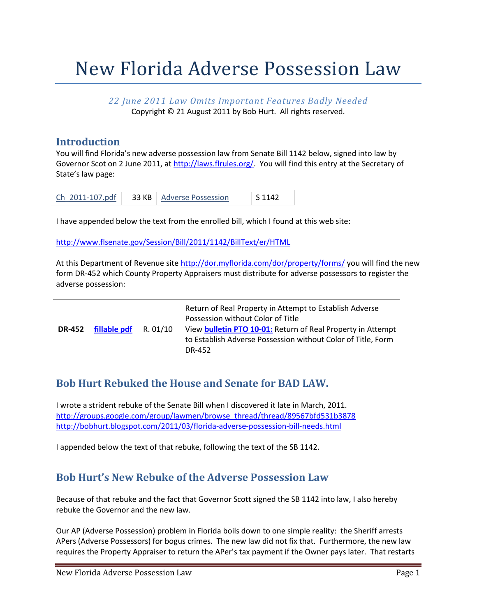# New Florida Adverse Possession Law

*22 June 2011 Law Omits Important Features Badly Needed* Copyright © 21 August 2011 by Bob Hurt. All rights reserved.

#### **Introduction**

You will find Florida's new adverse possession law from Senate Bill 1142 below, signed into law by Governor Scot on 2 June 2011, at [http://laws.flrules.org/.](http://laws.flrules.org/) You will find this entry at the Secretary of State's law page:

| Ch 2011-107.pdf |  | 33 KB   Adverse Possession | $\vert$ S 1142 |
|-----------------|--|----------------------------|----------------|
|-----------------|--|----------------------------|----------------|

I have appended below the text from the enrolled bill, which I found at this web site:

<http://www.flsenate.gov/Session/Bill/2011/1142/BillText/er/HTML>

At this Department of Revenue site <http://dor.myflorida.com/dor/property/forms/> you will find the new form DR-452 which County Property Appraisers must distribute for adverse possessors to register the adverse possession:

| R. 01/10<br>DR-452 fillable pdf<br>DR-452 |  |  |  | Return of Real Property in Attempt to Establish Adverse<br>Possession without Color of Title<br>View <b>bulletin PTO 10-01:</b> Return of Real Property in Attempt<br>to Establish Adverse Possession without Color of Title, Form |
|-------------------------------------------|--|--|--|------------------------------------------------------------------------------------------------------------------------------------------------------------------------------------------------------------------------------------|
|-------------------------------------------|--|--|--|------------------------------------------------------------------------------------------------------------------------------------------------------------------------------------------------------------------------------------|

## **Bob Hurt Rebuked the House and Senate for BAD LAW.**

I wrote a strident rebuke of the Senate Bill when I discovered it late in March, 2011. [http://groups.google.com/group/lawmen/browse\\_thread/thread/89567bfd531b3878](http://groups.google.com/group/lawmen/browse_thread/thread/89567bfd531b3878) <http://bobhurt.blogspot.com/2011/03/florida-adverse-possession-bill-needs.html>

I appended below the text of that rebuke, following the text of the SB 1142.

## **Bob Hurt's New Rebuke of the Adverse Possession Law**

Because of that rebuke and the fact that Governor Scott signed the SB 1142 into law, I also hereby rebuke the Governor and the new law.

Our AP (Adverse Possession) problem in Florida boils down to one simple reality: the Sheriff arrests APers (Adverse Possessors) for bogus crimes. The new law did not fix that. Furthermore, the new law requires the Property Appraiser to return the APer's tax payment if the Owner pays later. That restarts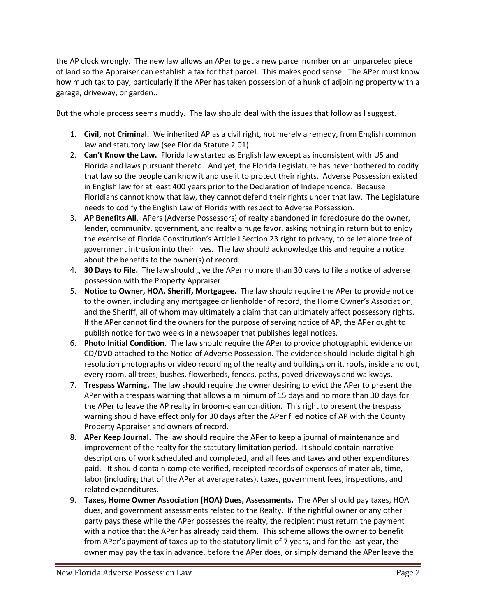the AP clock wrongly. The new law allows an APer to get a new parcel number on an unparceled piece of land so the Appraiser can establish a tax for that parcel. This makes good sense. The APer must know how much tax to pay, particularly if the APer has taken possession of a hunk of adjoining property with a garage, driveway, or garden..

But the whole process seems muddy. The law should deal with the issues that follow as I suggest.

- 1. **Civil, not Criminal.** We inherited AP as a civil right, not merely a remedy, from English common law and statutory law (see Florida Statute 2.01).
- 2. **Can't Know the Law.** Florida law started as English law except as inconsistent with US and Florida and laws pursuant thereto. And yet, the Florida Legislature has never bothered to codify that law so the people can know it and use it to protect their rights. Adverse Possession existed in English law for at least 400 years prior to the Declaration of Independence. Because Floridians cannot know that law, they cannot defend their rights under that law. The Legislature needs to codify the English Law of Florida with respect to Adverse Possession.
- 3. **AP Benefits All**. APers (Adverse Possessors) of realty abandoned in foreclosure do the owner, lender, community, government, and realty a huge favor, asking nothing in return but to enjoy the exercise of Florida Constitution's Article I Section 23 right to privacy, to be let alone free of government intrusion into their lives. The law should acknowledge this and require a notice about the benefits to the owner(s) of record.
- 4. **30 Days to File.** The law should give the APer no more than 30 days to file a notice of adverse possession with the Property Appraiser.
- 5. **Notice to Owner, HOA, Sheriff, Mortgagee.** The law should require the APer to provide notice to the owner, including any mortgagee or lienholder of record, the Home Owner's Association, and the Sheriff, all of whom may ultimately a claim that can ultimately affect possessory rights. If the APer cannot find the owners for the purpose of serving notice of AP, the APer ought to publish notice for two weeks in a newspaper that publishes legal notices.
- 6. **Photo Initial Condition.** The law should require the APer to provide photographic evidence on CD/DVD attached to the Notice of Adverse Possession. The evidence should include digital high resolution photographs or video recording of the realty and buildings on it, roofs, inside and out, every room, all trees, bushes, flowerbeds, fences, paths, paved driveways and walkways.
- 7. **Trespass Warning.** The law should require the owner desiring to evict the APer to present the APer with a trespass warning that allows a minimum of 15 days and no more than 30 days for the APer to leave the AP realty in broom-clean condition. This right to present the trespass warning should have effect only for 30 days after the APer filed notice of AP with the County Property Appraiser and owners of record.
- 8. **APer Keep Journal.** The law should require the APer to keep a journal of maintenance and improvement of the realty for the statutory limitation period. It should contain narrative descriptions of work scheduled and completed, and all fees and taxes and other expenditures paid. It should contain complete verified, receipted records of expenses of materials, time, labor (including that of the APer at average rates), taxes, government fees, inspections, and related expenditures.
- 9. **Taxes, Home Owner Association (HOA) Dues, Assessments.** The APer should pay taxes, HOA dues, and government assessments related to the Realty. If the rightful owner or any other party pays these while the APer possesses the realty, the recipient must return the payment with a notice that the APer has already paid them. This scheme allows the owner to benefit from APer's payment of taxes up to the statutory limit of 7 years, and for the last year, the owner may pay the tax in advance, before the APer does, or simply demand the APer leave the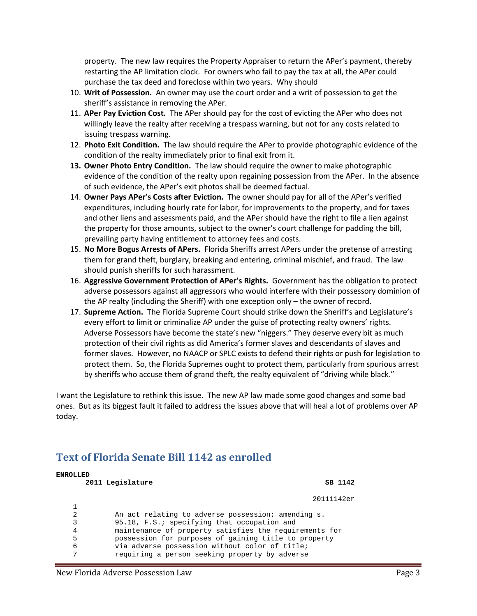property. The new law requires the Property Appraiser to return the APer's payment, thereby restarting the AP limitation clock. For owners who fail to pay the tax at all, the APer could purchase the tax deed and foreclose within two years. Why should

- 10. **Writ of Possession.** An owner may use the court order and a writ of possession to get the sheriff's assistance in removing the APer.
- 11. **APer Pay Eviction Cost.** The APer should pay for the cost of evicting the APer who does not willingly leave the realty after receiving a trespass warning, but not for any costs related to issuing trespass warning.
- 12. **Photo Exit Condition.** The law should require the APer to provide photographic evidence of the condition of the realty immediately prior to final exit from it.
- **13. Owner Photo Entry Condition.** The law should require the owner to make photographic evidence of the condition of the realty upon regaining possession from the APer. In the absence of such evidence, the APer's exit photos shall be deemed factual.
- 14. **Owner Pays APer's Costs after Eviction.** The owner should pay for all of the APer's verified expenditures, including hourly rate for labor, for improvements to the property, and for taxes and other liens and assessments paid, and the APer should have the right to file a lien against the property for those amounts, subject to the owner's court challenge for padding the bill, prevailing party having entitlement to attorney fees and costs.
- 15. **No More Bogus Arrests of APers.** Florida Sheriffs arrest APers under the pretense of arresting them for grand theft, burglary, breaking and entering, criminal mischief, and fraud. The law should punish sheriffs for such harassment.
- 16. **Aggressive Government Protection of APer's Rights.** Government has the obligation to protect adverse possessors against all aggressors who would interfere with their possessory dominion of the AP realty (including the Sheriff) with one exception only – the owner of record.
- 17. **Supreme Action.** The Florida Supreme Court should strike down the Sheriff's and Legislature's every effort to limit or criminalize AP under the guise of protecting realty owners' rights. Adverse Possessors have become the state's new "niggers." They deserve every bit as much protection of their civil rights as did America's former slaves and descendants of slaves and former slaves. However, no NAACP or SPLC exists to defend their rights or push for legislation to protect them. So, the Florida Supremes ought to protect them, particularly from spurious arrest by sheriffs who accuse them of grand theft, the realty equivalent of "driving while black."

I want the Legislature to rethink this issue. The new AP law made some good changes and some bad ones. But as its biggest fault it failed to address the issues above that will heal a lot of problems over AP today.

## **Text of Florida Senate Bill 1142 as enrolled**

| ENROLLED |                                                        |
|----------|--------------------------------------------------------|
|          | 2011 Legislature<br>SB 1142                            |
|          | 20111142er                                             |
|          |                                                        |
| 2        | An act relating to adverse possession; amending s.     |
| 3        | 95.18, F.S.; specifying that occupation and            |
| 4        | maintenance of property satisfies the requirements for |
| 5        | possession for purposes of gaining title to property   |
| 6        | via adverse possession without color of title;         |
| ⇁        | requiring a person seeking property by adverse         |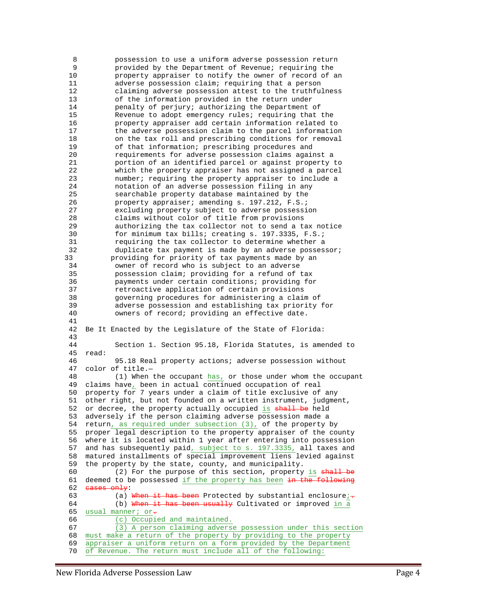```
8 possession to use a uniform adverse possession return
             provided by the Department of Revenue; requiring the
10 property appraiser to notify the owner of record of an
11 adverse possession claim; requiring that a person<br>12 adverse possession attest to the truthful
12 claiming adverse possession attest to the truthfulness<br>13 of the information provided in the return under
13 of the information provided in the return under<br>14 penalty of perjury; authorizing the Department
14 penalty of perjury; authorizing the Department of<br>15 Revenue to adopt emergency rules; requiring that
             Revenue to adopt emergency rules; requiring that the
16 property appraiser add certain information related to
17 the adverse possession claim to the parcel information
18 on the tax roll and prescribing conditions for removal
19 of that information; prescribing procedures and<br>20 producer requirements for adverse possession claims againg
20 requirements for adverse possession claims against a<br>21 portion of an identified parcel or against property
21 portion of an identified parcel or against property to<br>22 which the property appraiser has not assigned a parcel
22 which the property appraiser has not assigned a parcel<br>23 mumber; requiring the property appraiser to include a
             number; requiring the property appraiser to include a
24 notation of an adverse possession filing in any
25 searchable property database maintained by the<br>26 property appraiser; amending s. 197.212, F.S.;
26 property appraiser; amending s. 197.212, F.S.;<br>27 excluding property subject to adverse possessi
27 excluding property subject to adverse possession<br>28 claims without color of title from provisions
28 claims without color of title from provisions<br>29 authorizing the tax collector not to send a t
             authorizing the tax collector not to send a tax notice
30 for minimum tax bills; creating s. 197.3335, F.S.;
31 requiring the tax collector to determine whether a
32 duplicate tax payment is made by an adverse possessor;
33 providing for priority of tax payments made by an
34 owner of record who is subject to an adverse<br>35 oossession claim; providing for a refund of
35 possession claim; providing for a refund of tax<br>36 payments under certain conditions; providing for
             payments under certain conditions; providing for
37 retroactive application of certain provisions
38 governing procedures for administering a claim of
39 adverse possession and establishing tax priority for
40 owners of record; providing an effective date.
41
42 Be It Enacted by the Legislature of the State of Florida:
\begin{array}{c} 43 \\ 44 \end{array}Section 1. Section 95.18, Florida Statutes, is amended to
45 read:
46 95.18 Real property actions; adverse possession without
47 color of title.—
48 (1) When the occupant has, or those under whom the occupant
49 claims have, been in actual continued occupation of real
50 property for 7 years under a claim of title exclusive of any
51 other right, but not founded on a written instrument, judgment,
52 or decree, the property actually occupied is \frac{1}{2} be held
53 adversely if the person claiming adverse possession made a
54 return, as required under subsection (3), of the property by
55 proper legal description to the property appraiser of the county
56 where it is located within 1 year after entering into possession<br>57 and has subsequently paid, subject to s. 197.3335, all taxes and
     and has subsequently paid, subject to s. 197.3335, all taxes and
58 matured installments of special improvement liens levied against
59 the property by the state, county, and municipality.
60 (2) For the purpose of this section, property is \frac{1}{s} shall be
61 deemed to be possessed if the property has been in the following
62 eases only:
63 (a) When it has been Protected by substantial enclosure;
64 (b) When it has been usually Cultivated or improved in a
65 usual manner; or-
66 (c) Occupied and maintained.
67 (3) A person claiming adverse possession under this section
68 must make a return of the property by providing to the property
69 appraiser a uniform return on a form provided by the Department
70 of Revenue. The return must include all of the following:
```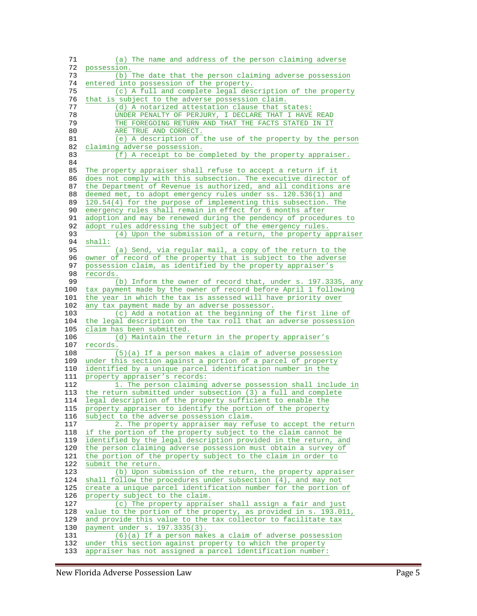```
71 (a) The name and address of the person claiming adverse
 72 possession.
 73 (b) The date that the person claiming adverse possession
 74 entered into possession of the property.<br>75 (C) \lambda full and complete legal desi
 75 (c) A full and complete legal description of the property<br>76 that is subject to the adverse possession claim.
 76 that is subject to the adverse possession claim.<br>77 (d) A notarized attestation clause that s
              (d) A notarized attestation clause that states:
 78 UNDER PENALTY OF PERJURY, I DECLARE THAT I HAVE READ THE FOREGOING RETURN AND THAT THE FACTS STATED IN IT
             THE FOREGOING RETURN AND THAT THE FACTS STATED IN IT
 80 ARE TRUE AND CORRECT.
 81 (e) A description of the use of the property by the person
 82 claiming adverse possession.
 83 (f) A receipt to be completed by the property appraiser.
 84
 85 The property appraiser shall refuse to accept a return if it
 86 does not comply with this subsection. The executive director of
 87 the Department of Revenue is authorized, and all conditions are
 88 deemed met, to adopt emergency rules under ss. 120.536(1) and
 89 120.54(4) for the purpose of implementing this subsection. The
 90 emergency rules shall remain in effect for 6 months after<br>91 adoption and may be renewed during the pendency of proced
 91 adoption and may be renewed during the pendency of procedures to 92 adopt rules addressing the subject of the emergency rules.
     adopt rules addressing the subject of the emergency rules.
 93 (4) Upon the submission of a return, the property appraiser
 94 shall:
 95 (a) Send, via regular mail, a copy of the return to the
 96 owner of record of the property that is subject to the adverse
 97 possession claim, as identified by the property appraiser's<br>98 records.
 98 rectors.<br>99 ((b) Inform the owner of record that, under s. 197.3335, any
100 tax payment made by the owner of record before April 1 following
101 the year in which the tax is assessed will have priority over
102 any tax payment made by an adverse possessor.
103 (c) Add a notation at the beginning of the first line of 104 the legal description on the tax roll that an adverse possession
104 the legal description on the tax roll that an adverse possession<br>105 claim has been submitted.
105 claim has been submitted.<br>106 (d) Maintain the re
106 (d) Maintain the return in the property appraiser's<br>107 records.
     records.
108 (5)(a) If a person makes a claim of adverse possession
109 under this section against a portion of a parcel of property
110 identified by a unique parcel identification number in the
111 property appraiser's records:
112 1. The person claiming adverse possession shall include in
113 the return submitted under subsection (3) a full and complete
114 legal description of the property sufficient to enable the
115 property appraiser to identify the portion of the property
116 subject to the adverse possession claim.
117 2. The property appraiser may refuse to accept the return
118 if the portion of the property subject to the claim cannot be 119 identified by the legal description provided in the return, and
119 identified by the legal description provided in the return, and<br>120 the person claiming adverse possession must obtain a survey of
     the person claiming adverse possession must obtain a survey of
121 the portion of the property subject to the claim in order to
122 submit the return.
123 (b) Upon submission of the return, the property appraiser
124 shall follow the procedures under subsection (4), and may not
125 create a unique parcel identification number for the portion of
126 property subject to the claim.
127 (c) The property appraiser shall assign a fair and just
128 value to the portion of the property, as provided in s. 193.011,
129 and provide this value to the tax collector to facilitate tax
130 payment under s. 197.3335(3).
131 (6)(a) If a person makes a claim of adverse possession
132 under this section against property to which the property<br>133 appraiser has not assigned a parcel identification number:
     appraiser has not assigned a parcel identification number:
```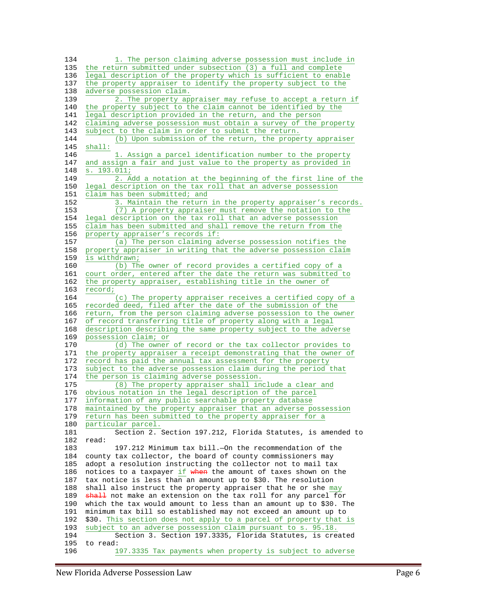```
134 1. The person claiming adverse possession must include in<br>135 the return submitted under subsection (3) a full and complete
     the return submitted under subsection (3) a full and complete
136 legal description of the property which is sufficient to enable
137 the property appraiser to identify the property subject to the 138 adverse possession claim.
138 <u>adverse possession claim.</u><br>139 2. The property approaches
139 2. The property appraiser may refuse to accept a return if<br>140 the property subject to the claim cannot be identified by the
      the property subject to the claim cannot be identified by the
141 legal description provided in the return, and the person
142 claiming adverse possession must obtain a survey of the property
143 subject to the claim in order to submit the return.
144 (b) Upon submission of the return, the property appraiser
145 shall:<br>146
146 1. Assign a parcel identification number to the property<br>147 and assign a fair and just value to the property as provided in
     and assign a fair and just value to the property as provided in
148 s. 193.011;
149 2. Add a notation at the beginning of the first line of the
150 legal description on the tax roll that an adverse possession
151 claim has been submitted; and
152 3. Maintain the return in the property appraiser's records.<br>153 (7) A property appraiser must remove the notation to the
153 (7) A property appraiser must remove the notation to the 154 legal description on the tax roll that an adverse possession
154 legal description on the tax roll that an adverse possession<br>155 claim has been submitted and shall remove the return from the
     claim has been submitted and shall remove the return from the
156 property appraiser's records if:
157 (a) The person claiming adverse possession notifies the
158 property appraiser in writing that the adverse possession claim
159 is withdrawn;
160 (b) The owner of record provides a certified copy of a
161 court order, entered after the date the return was submitted to
162 the property appraiser, establishing title in the owner of
163 record;
164 (c) The property appraiser receives a certified copy of a
165 recorded deed, filed after the date of the submission of the
166 return, from the person claiming adverse possession to the owner
167 of record transferring title of property along with a legal<br>168 description describing the same property subject to the adve
168 description describing the same property subject to the adverse<br>169 possession claim; or
169 <u>possession claim; or</u><br>170 (d) The owner
              (d) The owner of record or the tax collector provides to
171 the property appraiser a receipt demonstrating that the owner of
172 record has paid the annual tax assessment for the property
173 subject to the adverse possession claim during the period that
174 the person is claiming adverse possession.<br>175 (8) The property appraiser shall in
175 (8) The property appraiser shall include a clear and 176 obvious notation in the legal description of the parcel
     obvious notation in the legal description of the parcel
177 information of any public searchable property database
178 maintained by the property appraiser that an adverse possession
179 return has been submitted to the property appraiser for a
180 particular parcel.<br>181 Section 2.
              Section 2. Section 197.212, Florida Statutes, is amended to
182 read:
              183 197.212 Minimum tax bill.—On the recommendation of the
184 county tax collector, the board of county commissioners may
185 adopt a resolution instructing the collector not to mail tax
186 notices to a taxpayer if when the amount of taxes shown on the
187 tax notice is less than an amount up to $30. The resolution
188 shall also instruct the property appraiser that he or she may
189 shall not make an extension on the tax roll for any parcel for
190 which the tax would amount to less than an amount up to $30. The
191 minimum tax bill so established may not exceed an amount up to
192 $30. This section does not apply to a parcel of property that is
193 subject to an adverse possession claim pursuant to s. 95.18.
194 Section 3. Section 197.3335, Florida Statutes, is created
195 to read:<br>196 1
              197.3335 Tax payments when property is subject to adverse
```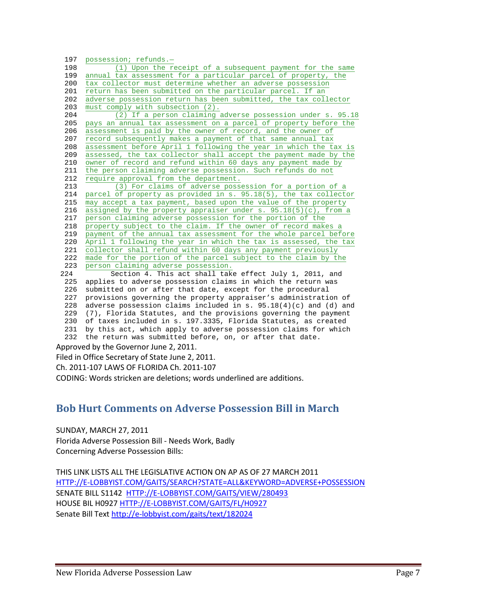```
197 possession; refunds.—
  198 (1) Upon the receipt of a subsequent payment for the same
  199 annual tax assessment for a particular parcel of property, the
  200 tax collector must determine whether an adverse possession<br>201 return has been submitted on the particular parcel. If an
       return has been submitted on the particular parcel. If an
  202 \frac{adverse}{{\text{must}}} comply with subsection (2).
       \overline{\text{must}} comply with subsection (2).
  204 (2) If a person claiming adverse possession under s. 95.18
  205 pays an annual tax assessment on a parcel of property before the
  206 assessment is paid by the owner of record, and the owner of
  207 record subsequently makes a payment of that same annual tax
  208 assessment before April 1 following the year in which the tax is
  209 assessed, the tax collector shall accept the payment made by the
  210 owner of record and refund within 60 days any payment made by
  211 the person claiming adverse possession. Such refunds do not
  212 require approval from the department.
  213 (3) For claims of adverse possession for a portion of a
  214 parcel of property as provided in s. 95.18(5), the tax collector
  215 may accept a tax payment, based upon the value of the property
  216 assigned by the property appraiser under s. 95.18(5)(c), from a
  217 person claiming adverse possession for the portion of the
  218 property subject to the claim. If the owner of record makes a
  219 payment of the annual tax assessment for the whole parcel before
  220 April 1 following the year in which the tax is assessed, the tax
  221 collector shall refund within 60 days any payment previously<br>222 made for the portion of the parcel subject to the claim by t
       made for the portion of the parcel subject to the claim by the
 223 person claiming adverse possession.<br>224 Section 4. This act shall tak
             Section 4. This act shall take effect July 1, 2011, and
  225 applies to adverse possession claims in which the return was
  226 submitted on or after that date, except for the procedural
  227 provisions governing the property appraiser's administration of
  228 adverse possession claims included in s. 95.18(4)(c) and (d) and
  229 (7), Florida Statutes, and the provisions governing the payment
  230 of taxes included in s. 197.3335, Florida Statutes, as created
  231 by this act, which apply to adverse possession claims for which
  232 the return was submitted before, on, or after that date.
Approved by the Governor June 2, 2011.
```
Filed in Office Secretary of State June 2, 2011.

Ch. 2011-107 LAWS OF FLORIDA Ch. 2011-107

CODING: Words stricken are deletions; words underlined are additions.

#### **Bob Hurt Comments on Adverse Possession Bill in March**

SUNDAY, MARCH 27, 2011 Florida Adverse Possession Bill - Needs Work, Badly Concerning Adverse Possession Bills:

THIS LINK LISTS ALL THE LEGISLATIVE ACTION ON AP AS OF 27 MARCH 2011 [HTTP://E-LOBBYIST.COM/GAITS/SEARCH?STATE=ALL&KEYWORD=ADVERSE+POSSESSION](http://e-lobbyist.com/gaits/search?state=ALL&keyword=adverse+possession) SENATE BILL S1142 [HTTP://E-LOBBYIST.COM/GAITS/VIEW/280493](http://e-lobbyist.com/gaits/view/280493) HOUSE BIL H0927 [HTTP://E-LOBBYIST.COM/GAITS/FL/H0927](http://e-lobbyist.com/gaits/FL/H0927) Senate Bill Text <http://e-lobbyist.com/gaits/text/182024>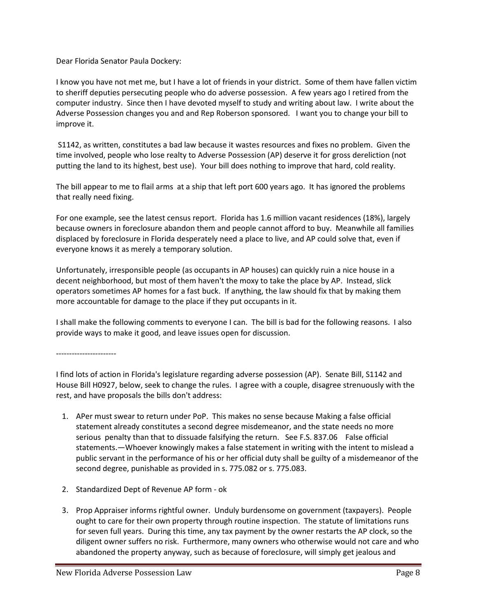Dear Florida Senator Paula Dockery:

I know you have not met me, but I have a lot of friends in your district. Some of them have fallen victim to sheriff deputies persecuting people who do adverse possession. A few years ago I retired from the computer industry. Since then I have devoted myself to study and writing about law. I write about the Adverse Possession changes you and and Rep Roberson sponsored. I want you to change your bill to improve it.

S1142, as written, constitutes a bad law because it wastes resources and fixes no problem. Given the time involved, people who lose realty to Adverse Possession (AP) deserve it for gross dereliction (not putting the land to its highest, best use). Your bill does nothing to improve that hard, cold reality.

The bill appear to me to flail arms at a ship that left port 600 years ago. It has ignored the problems that really need fixing.

For one example, see the latest census report. Florida has 1.6 million vacant residences (18%), largely because owners in foreclosure abandon them and people cannot afford to buy. Meanwhile all families displaced by foreclosure in Florida desperately need a place to live, and AP could solve that, even if everyone knows it as merely a temporary solution.

Unfortunately, irresponsible people (as occupants in AP houses) can quickly ruin a nice house in a decent neighborhood, but most of them haven't the moxy to take the place by AP. Instead, slick operators sometimes AP homes for a fast buck. If anything, the law should fix that by making them more accountable for damage to the place if they put occupants in it.

I shall make the following comments to everyone I can. The bill is bad for the following reasons. I also provide ways to make it good, and leave issues open for discussion.

-----------------------

I find lots of action in Florida's legislature regarding adverse possession (AP). Senate Bill, S1142 and House Bill H0927, below, seek to change the rules. I agree with a couple, disagree strenuously with the rest, and have proposals the bills don't address:

- 1. APer must swear to return under PoP. This makes no sense because Making a false official statement already constitutes a second degree misdemeanor, and the state needs no more serious penalty than that to dissuade falsifying the return. See F.S. 837.06 False official statements.—Whoever knowingly makes a false statement in writing with the intent to mislead a public servant in the performance of his or her official duty shall be guilty of a misdemeanor of the second degree, punishable as provided in s. 775.082 or s. 775.083.
- 2. Standardized Dept of Revenue AP form ok
- 3. Prop Appraiser informs rightful owner. Unduly burdensome on government (taxpayers). People ought to care for their own property through routine inspection. The statute of limitations runs for seven full years. During this time, any tax payment by the owner restarts the AP clock, so the diligent owner suffers no risk. Furthermore, many owners who otherwise would not care and who abandoned the property anyway, such as because of foreclosure, will simply get jealous and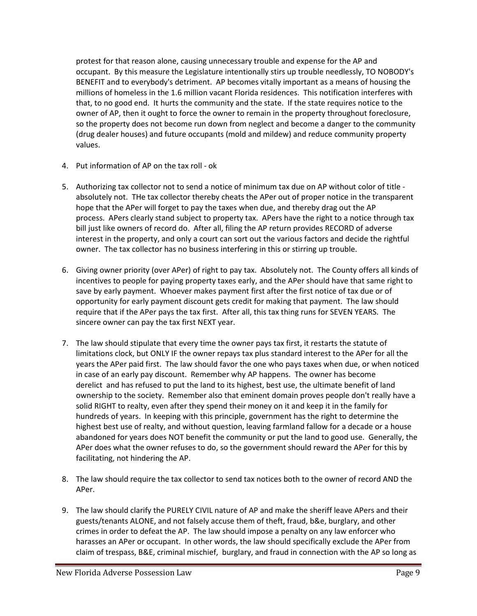protest for that reason alone, causing unnecessary trouble and expense for the AP and occupant. By this measure the Legislature intentionally stirs up trouble needlessly, TO NOBODY's BENEFIT and to everybody's detriment. AP becomes vitally important as a means of housing the millions of homeless in the 1.6 million vacant Florida residences. This notification interferes with that, to no good end. It hurts the community and the state. If the state requires notice to the owner of AP, then it ought to force the owner to remain in the property throughout foreclosure, so the property does not become run down from neglect and become a danger to the community (drug dealer houses) and future occupants (mold and mildew) and reduce community property values.

- 4. Put information of AP on the tax roll ok
- 5. Authorizing tax collector not to send a notice of minimum tax due on AP without color of title absolutely not. THe tax collector thereby cheats the APer out of proper notice in the transparent hope that the APer will forget to pay the taxes when due, and thereby drag out the AP process. APers clearly stand subject to property tax. APers have the right to a notice through tax bill just like owners of record do. After all, filing the AP return provides RECORD of adverse interest in the property, and only a court can sort out the various factors and decide the rightful owner. The tax collector has no business interfering in this or stirring up trouble.
- 6. Giving owner priority (over APer) of right to pay tax. Absolutely not. The County offers all kinds of incentives to people for paying property taxes early, and the APer should have that same right to save by early payment. Whoever makes payment first after the first notice of tax due or of opportunity for early payment discount gets credit for making that payment. The law should require that if the APer pays the tax first. After all, this tax thing runs for SEVEN YEARS. The sincere owner can pay the tax first NEXT year.
- 7. The law should stipulate that every time the owner pays tax first, it restarts the statute of limitations clock, but ONLY IF the owner repays tax plus standard interest to the APer for all the years the APer paid first. The law should favor the one who pays taxes when due, or when noticed in case of an early pay discount. Remember why AP happens. The owner has become derelict and has refused to put the land to its highest, best use, the ultimate benefit of land ownership to the society. Remember also that eminent domain proves people don't really have a solid RIGHT to realty, even after they spend their money on it and keep it in the family for hundreds of years. In keeping with this principle, government has the right to determine the highest best use of realty, and without question, leaving farmland fallow for a decade or a house abandoned for years does NOT benefit the community or put the land to good use. Generally, the APer does what the owner refuses to do, so the government should reward the APer for this by facilitating, not hindering the AP.
- 8. The law should require the tax collector to send tax notices both to the owner of record AND the APer.
- 9. The law should clarify the PURELY CIVIL nature of AP and make the sheriff leave APers and their guests/tenants ALONE, and not falsely accuse them of theft, fraud, b&e, burglary, and other crimes in order to defeat the AP. The law should impose a penalty on any law enforcer who harasses an APer or occupant. In other words, the law should specifically exclude the APer from claim of trespass, B&E, criminal mischief, burglary, and fraud in connection with the AP so long as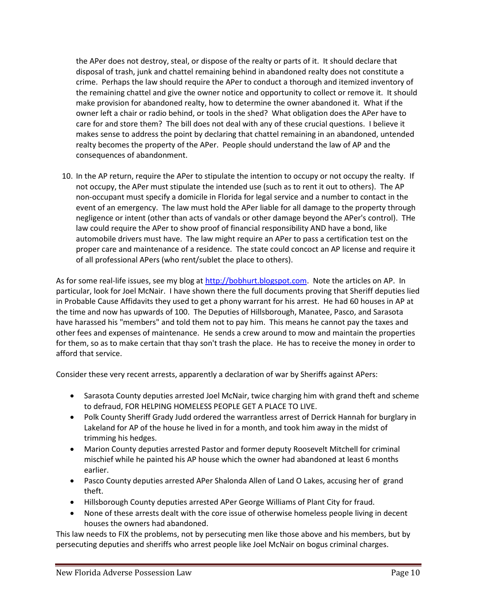the APer does not destroy, steal, or dispose of the realty or parts of it. It should declare that disposal of trash, junk and chattel remaining behind in abandoned realty does not constitute a crime. Perhaps the law should require the APer to conduct a thorough and itemized inventory of the remaining chattel and give the owner notice and opportunity to collect or remove it. It should make provision for abandoned realty, how to determine the owner abandoned it. What if the owner left a chair or radio behind, or tools in the shed? What obligation does the APer have to care for and store them? The bill does not deal with any of these crucial questions. I believe it makes sense to address the point by declaring that chattel remaining in an abandoned, untended realty becomes the property of the APer. People should understand the law of AP and the consequences of abandonment.

10. In the AP return, require the APer to stipulate the intention to occupy or not occupy the realty. If not occupy, the APer must stipulate the intended use (such as to rent it out to others). The AP non-occupant must specify a domicile in Florida for legal service and a number to contact in the event of an emergency. The law must hold the APer liable for all damage to the property through negligence or intent (other than acts of vandals or other damage beyond the APer's control). THe law could require the APer to show proof of financial responsibility AND have a bond, like automobile drivers must have. The law might require an APer to pass a certification test on the proper care and maintenance of a residence. The state could concoct an AP license and require it of all professional APers (who rent/sublet the place to others).

As for some real-life issues, see my blog at [http://bobhurt.blogspot.com](http://bobhurt.blogspot.com/). Note the articles on AP. In particular, look for Joel McNair. I have shown there the full documents proving that Sheriff deputies lied in Probable Cause Affidavits they used to get a phony warrant for his arrest. He had 60 houses in AP at the time and now has upwards of 100. The Deputies of Hillsborough, Manatee, Pasco, and Sarasota have harassed his "members" and told them not to pay him. This means he cannot pay the taxes and other fees and expenses of maintenance. He sends a crew around to mow and maintain the properties for them, so as to make certain that thay son't trash the place. He has to receive the money in order to afford that service.

Consider these very recent arrests, apparently a declaration of war by Sheriffs against APers:

- Sarasota County deputies arrested Joel McNair, twice charging him with grand theft and scheme to defraud, FOR HELPING HOMELESS PEOPLE GET A PLACE TO LIVE.
- Polk County Sheriff Grady Judd ordered the warrantless arrest of Derrick Hannah for burglary in Lakeland for AP of the house he lived in for a month, and took him away in the midst of trimming his hedges.
- Marion County deputies arrested Pastor and former deputy Roosevelt Mitchell for criminal mischief while he painted his AP house which the owner had abandoned at least 6 months earlier.
- Pasco County deputies arrested APer Shalonda Allen of Land O Lakes, accusing her of grand theft.
- Hillsborough County deputies arrested APer George Williams of Plant City for fraud.
- None of these arrests dealt with the core issue of otherwise homeless people living in decent houses the owners had abandoned.

This law needs to FIX the problems, not by persecuting men like those above and his members, but by persecuting deputies and sheriffs who arrest people like Joel McNair on bogus criminal charges.